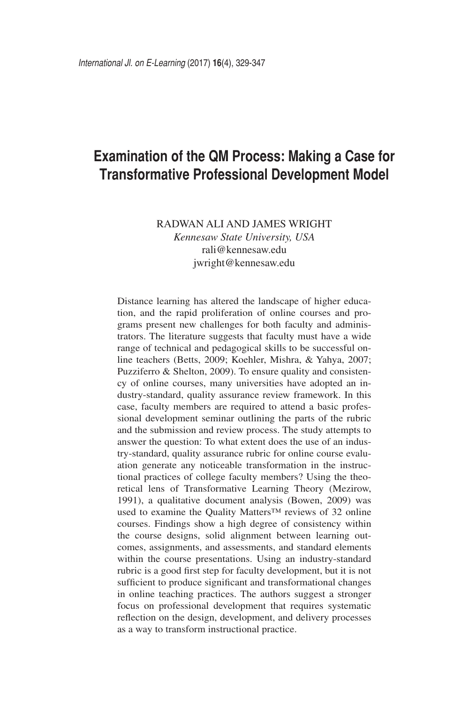# **Examination of the QM Process: Making a Case for Transformative Professional Development Model**

RADWAN ALI AND JAMES WRIGHT *Kennesaw State University, USA* rali@kennesaw.edu jwright@kennesaw.edu

Distance learning has altered the landscape of higher education, and the rapid proliferation of online courses and programs present new challenges for both faculty and administrators. The literature suggests that faculty must have a wide range of technical and pedagogical skills to be successful online teachers (Betts, 2009; Koehler, Mishra, & Yahya, 2007; Puzziferro & Shelton, 2009). To ensure quality and consistency of online courses, many universities have adopted an industry-standard, quality assurance review framework. In this case, faculty members are required to attend a basic professional development seminar outlining the parts of the rubric and the submission and review process. The study attempts to answer the question: To what extent does the use of an industry-standard, quality assurance rubric for online course evaluation generate any noticeable transformation in the instructional practices of college faculty members? Using the theoretical lens of Transformative Learning Theory (Mezirow, 1991), a qualitative document analysis (Bowen, 2009) was used to examine the Quality Matters™ reviews of 32 online courses. Findings show a high degree of consistency within the course designs, solid alignment between learning outcomes, assignments, and assessments, and standard elements within the course presentations. Using an industry-standard rubric is a good first step for faculty development, but it is not sufficient to produce significant and transformational changes in online teaching practices. The authors suggest a stronger focus on professional development that requires systematic reflection on the design, development, and delivery processes as a way to transform instructional practice.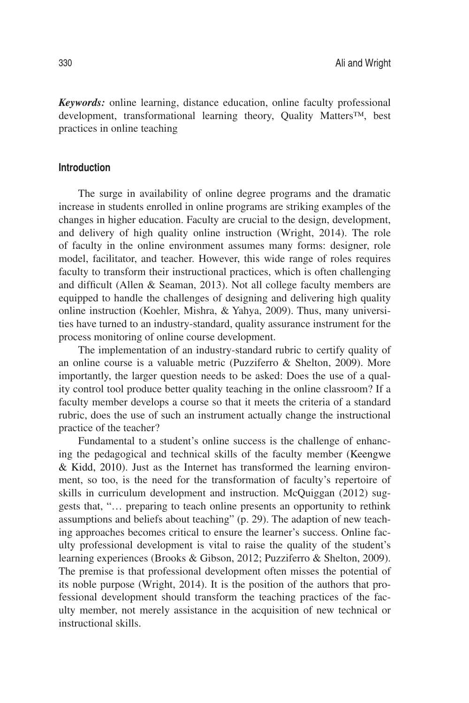*Keywords:* online learning, distance education, online faculty professional development, transformational learning theory, Quality Matters™, best practices in online teaching

## **Introduction**

The surge in availability of online degree programs and the dramatic increase in students enrolled in online programs are striking examples of the changes in higher education. Faculty are crucial to the design, development, and delivery of high quality online instruction (Wright, 2014). The role of faculty in the online environment assumes many forms: designer, role model, facilitator, and teacher. However, this wide range of roles requires faculty to transform their instructional practices, which is often challenging and difficult (Allen & Seaman, 2013). Not all college faculty members are equipped to handle the challenges of designing and delivering high quality online instruction (Koehler, Mishra, & Yahya, 2009). Thus, many universities have turned to an industry-standard, quality assurance instrument for the process monitoring of online course development.

The implementation of an industry-standard rubric to certify quality of an online course is a valuable metric (Puzziferro & Shelton, 2009). More importantly, the larger question needs to be asked: Does the use of a quality control tool produce better quality teaching in the online classroom? If a faculty member develops a course so that it meets the criteria of a standard rubric, does the use of such an instrument actually change the instructional practice of the teacher?

Fundamental to a student's online success is the challenge of enhancing the pedagogical and technical skills of the faculty member (Keengwe & Kidd, 2010). Just as the Internet has transformed the learning environment, so too, is the need for the transformation of faculty's repertoire of skills in curriculum development and instruction. McQuiggan (2012) suggests that, "… preparing to teach online presents an opportunity to rethink assumptions and beliefs about teaching" (p. 29). The adaption of new teaching approaches becomes critical to ensure the learner's success. Online faculty professional development is vital to raise the quality of the student's learning experiences (Brooks & Gibson, 2012; Puzziferro & Shelton, 2009). The premise is that professional development often misses the potential of its noble purpose (Wright, 2014). It is the position of the authors that professional development should transform the teaching practices of the faculty member, not merely assistance in the acquisition of new technical or instructional skills.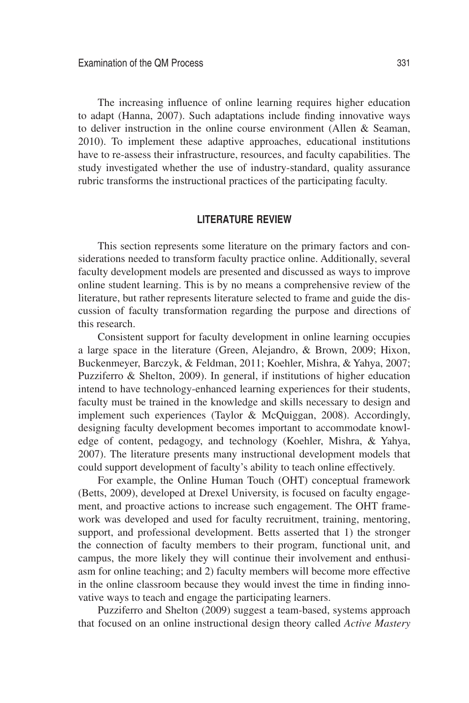The increasing influence of online learning requires higher education to adapt (Hanna, 2007). Such adaptations include finding innovative ways to deliver instruction in the online course environment (Allen  $\&$  Seaman, 2010). To implement these adaptive approaches, educational institutions have to re-assess their infrastructure, resources, and faculty capabilities. The study investigated whether the use of industry-standard, quality assurance rubric transforms the instructional practices of the participating faculty.

## **LITERATURE REVIEW**

This section represents some literature on the primary factors and considerations needed to transform faculty practice online. Additionally, several faculty development models are presented and discussed as ways to improve online student learning. This is by no means a comprehensive review of the literature, but rather represents literature selected to frame and guide the discussion of faculty transformation regarding the purpose and directions of this research.

Consistent support for faculty development in online learning occupies a large space in the literature (Green, Alejandro, & Brown, 2009; Hixon, Buckenmeyer, Barczyk, & Feldman, 2011; Koehler, Mishra, & Yahya, 2007; Puzziferro & Shelton, 2009). In general, if institutions of higher education intend to have technology-enhanced learning experiences for their students, faculty must be trained in the knowledge and skills necessary to design and implement such experiences (Taylor & McQuiggan, 2008). Accordingly, designing faculty development becomes important to accommodate knowledge of content, pedagogy, and technology (Koehler, Mishra, & Yahya, 2007). The literature presents many instructional development models that could support development of faculty's ability to teach online effectively.

For example, the Online Human Touch (OHT) conceptual framework (Betts, 2009), developed at Drexel University, is focused on faculty engagement, and proactive actions to increase such engagement. The OHT framework was developed and used for faculty recruitment, training, mentoring, support, and professional development. Betts asserted that 1) the stronger the connection of faculty members to their program, functional unit, and campus, the more likely they will continue their involvement and enthusiasm for online teaching; and 2) faculty members will become more effective in the online classroom because they would invest the time in finding innovative ways to teach and engage the participating learners.

Puzziferro and Shelton (2009) suggest a team-based, systems approach that focused on an online instructional design theory called *Active Mastery*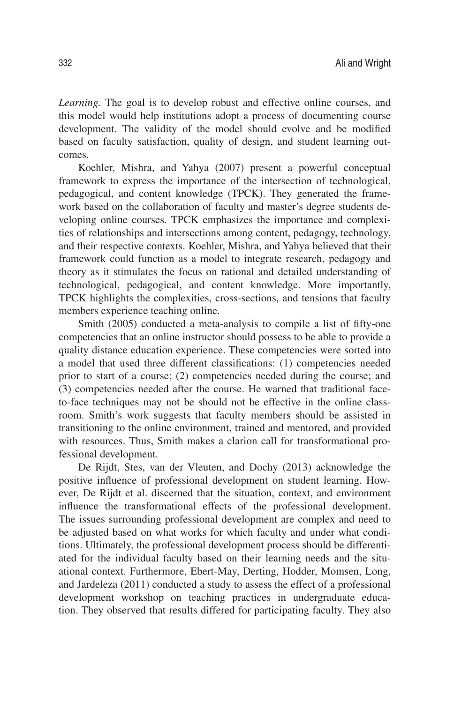*Learning.* The goal is to develop robust and effective online courses, and this model would help institutions adopt a process of documenting course development. The validity of the model should evolve and be modified based on faculty satisfaction, quality of design, and student learning outcomes.

Koehler, Mishra, and Yahya (2007) present a powerful conceptual framework to express the importance of the intersection of technological, pedagogical, and content knowledge (TPCK). They generated the framework based on the collaboration of faculty and master's degree students developing online courses. TPCK emphasizes the importance and complexities of relationships and intersections among content, pedagogy, technology, and their respective contexts. Koehler, Mishra, and Yahya believed that their framework could function as a model to integrate research, pedagogy and theory as it stimulates the focus on rational and detailed understanding of technological, pedagogical, and content knowledge. More importantly, TPCK highlights the complexities, cross-sections, and tensions that faculty members experience teaching online.

Smith (2005) conducted a meta-analysis to compile a list of fifty-one competencies that an online instructor should possess to be able to provide a quality distance education experience. These competencies were sorted into a model that used three different classifications: (1) competencies needed prior to start of a course; (2) competencies needed during the course; and (3) competencies needed after the course. He warned that traditional faceto-face techniques may not be should not be effective in the online classroom. Smith's work suggests that faculty members should be assisted in transitioning to the online environment, trained and mentored, and provided with resources. Thus, Smith makes a clarion call for transformational professional development.

De Rijdt, Stes, van der Vleuten, and Dochy (2013) acknowledge the positive influence of professional development on student learning. However, De Rijdt et al. discerned that the situation, context, and environment influence the transformational effects of the professional development. The issues surrounding professional development are complex and need to be adjusted based on what works for which faculty and under what conditions. Ultimately, the professional development process should be differentiated for the individual faculty based on their learning needs and the situational context. Furthermore, Ebert-May, Derting, Hodder, Momsen, Long, and Jardeleza (2011) conducted a study to assess the effect of a professional development workshop on teaching practices in undergraduate education. They observed that results differed for participating faculty. They also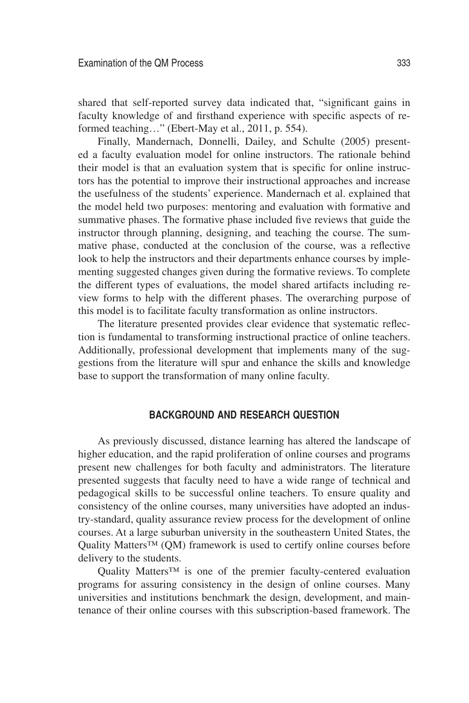shared that self-reported survey data indicated that, "significant gains in faculty knowledge of and firsthand experience with specific aspects of reformed teaching…" (Ebert-May et al., 2011, p. 554).

Finally, Mandernach, Donnelli, Dailey, and Schulte (2005) presented a faculty evaluation model for online instructors. The rationale behind their model is that an evaluation system that is specific for online instructors has the potential to improve their instructional approaches and increase the usefulness of the students' experience. Mandernach et al. explained that the model held two purposes: mentoring and evaluation with formative and summative phases. The formative phase included five reviews that guide the instructor through planning, designing, and teaching the course. The summative phase, conducted at the conclusion of the course, was a reflective look to help the instructors and their departments enhance courses by implementing suggested changes given during the formative reviews. To complete the different types of evaluations, the model shared artifacts including review forms to help with the different phases. The overarching purpose of this model is to facilitate faculty transformation as online instructors.

The literature presented provides clear evidence that systematic reflection is fundamental to transforming instructional practice of online teachers. Additionally, professional development that implements many of the suggestions from the literature will spur and enhance the skills and knowledge base to support the transformation of many online faculty.

# **BACKGROUND AND RESEARCH QUESTION**

As previously discussed, distance learning has altered the landscape of higher education, and the rapid proliferation of online courses and programs present new challenges for both faculty and administrators. The literature presented suggests that faculty need to have a wide range of technical and pedagogical skills to be successful online teachers. To ensure quality and consistency of the online courses, many universities have adopted an industry-standard, quality assurance review process for the development of online courses. At a large suburban university in the southeastern United States, the Quality Matters<sup>™</sup> (QM) framework is used to certify online courses before delivery to the students.

Quality Matters™ is one of the premier faculty-centered evaluation programs for assuring consistency in the design of online courses. Many universities and institutions benchmark the design, development, and maintenance of their online courses with this subscription-based framework. The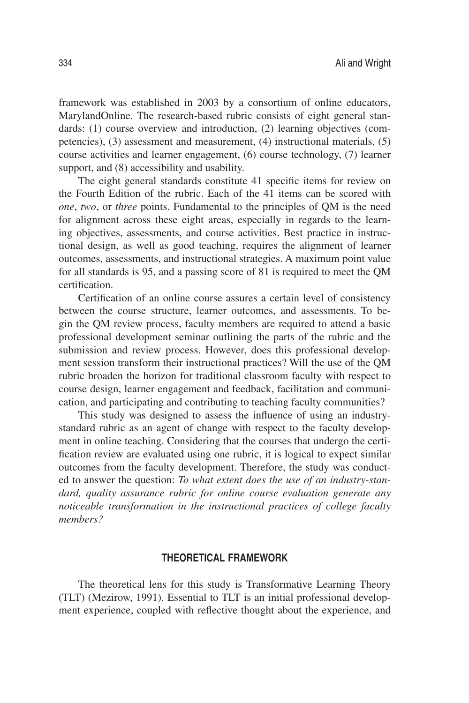framework was established in 2003 by a consortium of online educators, MarylandOnline. The research-based rubric consists of eight general standards: (1) course overview and introduction, (2) learning objectives (competencies), (3) assessment and measurement, (4) instructional materials, (5) course activities and learner engagement, (6) course technology, (7) learner support, and (8) accessibility and usability.

The eight general standards constitute 41 specific items for review on the Fourth Edition of the rubric. Each of the 41 items can be scored with *one*, *two*, or *three* points. Fundamental to the principles of QM is the need for alignment across these eight areas, especially in regards to the learning objectives, assessments, and course activities. Best practice in instructional design, as well as good teaching, requires the alignment of learner outcomes, assessments, and instructional strategies. A maximum point value for all standards is 95, and a passing score of 81 is required to meet the QM certification.

Certification of an online course assures a certain level of consistency between the course structure, learner outcomes, and assessments. To begin the QM review process, faculty members are required to attend a basic professional development seminar outlining the parts of the rubric and the submission and review process. However, does this professional development session transform their instructional practices? Will the use of the QM rubric broaden the horizon for traditional classroom faculty with respect to course design, learner engagement and feedback, facilitation and communication, and participating and contributing to teaching faculty communities?

This study was designed to assess the influence of using an industrystandard rubric as an agent of change with respect to the faculty development in online teaching. Considering that the courses that undergo the certification review are evaluated using one rubric, it is logical to expect similar outcomes from the faculty development. Therefore, the study was conducted to answer the question: *To what extent does the use of an industry-standard, quality assurance rubric for online course evaluation generate any noticeable transformation in the instructional practices of college faculty members?*

# **THEORETICAL FRAMEWORK**

The theoretical lens for this study is Transformative Learning Theory (TLT) (Mezirow, 1991). Essential to TLT is an initial professional development experience, coupled with reflective thought about the experience, and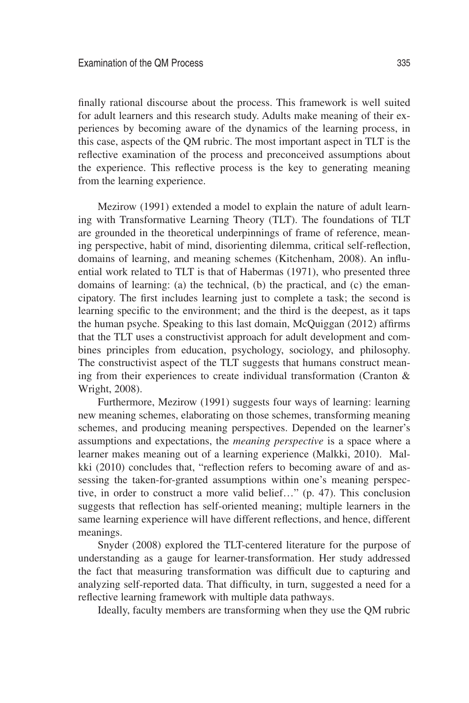finally rational discourse about the process. This framework is well suited for adult learners and this research study. Adults make meaning of their experiences by becoming aware of the dynamics of the learning process, in this case, aspects of the QM rubric. The most important aspect in TLT is the reflective examination of the process and preconceived assumptions about the experience. This reflective process is the key to generating meaning from the learning experience.

Mezirow (1991) extended a model to explain the nature of adult learning with Transformative Learning Theory (TLT). The foundations of TLT are grounded in the theoretical underpinnings of frame of reference, meaning perspective, habit of mind, disorienting dilemma, critical self-reflection, domains of learning, and meaning schemes (Kitchenham, 2008). An influential work related to TLT is that of Habermas (1971), who presented three domains of learning: (a) the technical, (b) the practical, and (c) the emancipatory. The first includes learning just to complete a task; the second is learning specific to the environment; and the third is the deepest, as it taps the human psyche. Speaking to this last domain, McQuiggan (2012) affirms that the TLT uses a constructivist approach for adult development and combines principles from education, psychology, sociology, and philosophy. The constructivist aspect of the TLT suggests that humans construct meaning from their experiences to create individual transformation (Cranton & Wright, 2008).

Furthermore, Mezirow (1991) suggests four ways of learning: learning new meaning schemes, elaborating on those schemes, transforming meaning schemes, and producing meaning perspectives. Depended on the learner's assumptions and expectations, the *meaning perspective* is a space where a learner makes meaning out of a learning experience (Malkki, 2010). Malkki (2010) concludes that, "reflection refers to becoming aware of and assessing the taken-for-granted assumptions within one's meaning perspective, in order to construct a more valid belief…" (p. 47). This conclusion suggests that reflection has self-oriented meaning; multiple learners in the same learning experience will have different reflections, and hence, different meanings.

Snyder (2008) explored the TLT-centered literature for the purpose of understanding as a gauge for learner-transformation. Her study addressed the fact that measuring transformation was difficult due to capturing and analyzing self-reported data. That difficulty, in turn, suggested a need for a reflective learning framework with multiple data pathways.

Ideally, faculty members are transforming when they use the QM rubric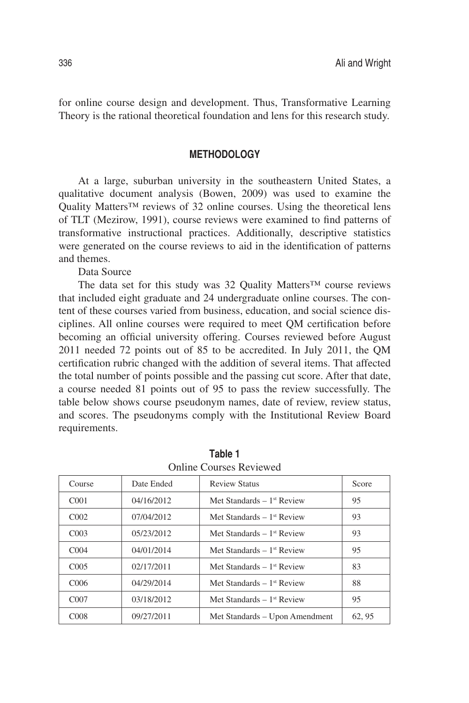for online course design and development. Thus, Transformative Learning Theory is the rational theoretical foundation and lens for this research study.

# **METHODOLOGY**

At a large, suburban university in the southeastern United States, a qualitative document analysis (Bowen, 2009) was used to examine the Quality Matters<sup>™</sup> reviews of 32 online courses. Using the theoretical lens of TLT (Mezirow, 1991), course reviews were examined to find patterns of transformative instructional practices. Additionally, descriptive statistics were generated on the course reviews to aid in the identification of patterns and themes.

Data Source

The data set for this study was 32 Quality Matters™ course reviews that included eight graduate and 24 undergraduate online courses. The content of these courses varied from business, education, and social science disciplines. All online courses were required to meet QM certification before becoming an official university offering. Courses reviewed before August 2011 needed 72 points out of 85 to be accredited. In July 2011, the QM certification rubric changed with the addition of several items. That affected the total number of points possible and the passing cut score. After that date, a course needed 81 points out of 95 to pass the review successfully. The table below shows course pseudonym names, date of review, review status, and scores. The pseudonyms comply with the Institutional Review Board requirements.

| <u>Ommo Courses incrience</u> |            |                                         |        |  |
|-------------------------------|------------|-----------------------------------------|--------|--|
| Course                        | Date Ended | <b>Review Status</b>                    | Score  |  |
| C <sub>001</sub>              | 04/16/2012 | Met Standards $-1$ <sup>st</sup> Review | 95     |  |
| C <sub>002</sub>              | 07/04/2012 | Met Standards $-1$ <sup>st</sup> Review | 93     |  |
| CO <sub>03</sub>              | 05/23/2012 | Met Standards $-1$ <sup>st</sup> Review | 93     |  |
| C <sub>004</sub>              | 04/01/2014 | Met Standards $-1$ <sup>st</sup> Review | 95     |  |
| C <sub>005</sub>              | 02/17/2011 | Met Standards $-1$ <sup>st</sup> Review | 83     |  |
| C <sub>006</sub>              | 04/29/2014 | Met Standards $-1$ <sup>st</sup> Review | 88     |  |
| CO <sub>07</sub>              | 03/18/2012 | Met Standards $-1$ <sup>st</sup> Review | 95     |  |
| C <sub>008</sub>              | 09/27/2011 | Met Standards - Upon Amendment          | 62, 95 |  |

**Table 1**  Online Courses Reviewed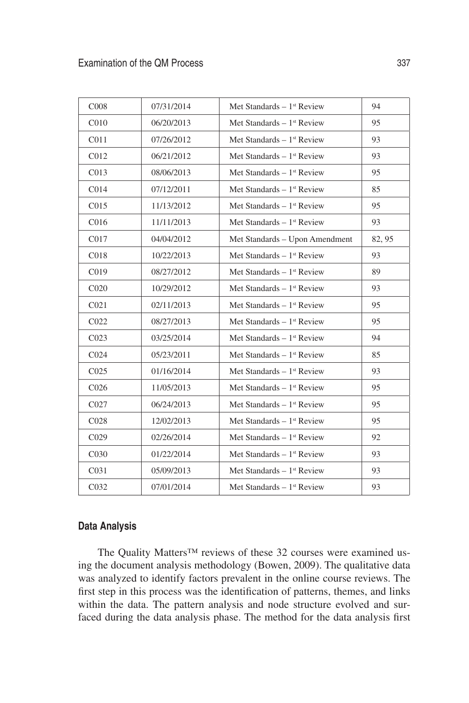| C <sub>008</sub>  | 07/31/2014 | Met Standards $-1$ <sup>st</sup> Review | 94     |
|-------------------|------------|-----------------------------------------|--------|
| C <sub>010</sub>  | 06/20/2013 | Met Standards $-1$ <sup>st</sup> Review | 95     |
| C <sub>011</sub>  | 07/26/2012 | Met Standards $-1$ <sup>st</sup> Review | 93     |
| C <sub>012</sub>  | 06/21/2012 | Met Standards $-1$ <sup>st</sup> Review | 93     |
| CO13              | 08/06/2013 | Met Standards $-1$ <sup>st</sup> Review | 95     |
| CO14              | 07/12/2011 | Met Standards $-1$ <sup>st</sup> Review | 85     |
| C <sub>015</sub>  | 11/13/2012 | Met Standards $-1$ <sup>st</sup> Review | 95     |
| C <sub>016</sub>  | 11/11/2013 | Met Standards $-1$ <sup>st</sup> Review | 93     |
| C017              | 04/04/2012 | Met Standards - Upon Amendment          | 82, 95 |
| C018              | 10/22/2013 | Met Standards $-1$ <sup>st</sup> Review | 93     |
| C <sub>019</sub>  | 08/27/2012 | Met Standards $-1$ <sup>st</sup> Review | 89     |
| C <sub>020</sub>  | 10/29/2012 | Met Standards - $1st$ Review            | 93     |
| C <sub>021</sub>  | 02/11/2013 | Met Standards $-1$ <sup>st</sup> Review | 95     |
| C <sub>022</sub>  | 08/27/2013 | Met Standards $-1$ <sup>st</sup> Review | 95     |
| CO <sub>23</sub>  | 03/25/2014 | Met Standards $-1$ <sup>st</sup> Review | 94     |
| CO <sub>24</sub>  | 05/23/2011 | Met Standards $-1$ <sup>st</sup> Review | 85     |
| CO <sub>25</sub>  | 01/16/2014 | Met Standards $-1$ <sup>st</sup> Review | 93     |
| C <sub>026</sub>  | 11/05/2013 | Met Standards $-1$ <sup>st</sup> Review | 95     |
| CO27              | 06/24/2013 | Met Standards $-1$ <sup>st</sup> Review | 95     |
| C <sub>028</sub>  | 12/02/2013 | Met Standards - $1st$ Review            | 95     |
| C <sub>029</sub>  | 02/26/2014 | Met Standards $-1$ <sup>st</sup> Review | 92     |
| C <sub>0</sub> 30 | 01/22/2014 | Met Standards $-1$ <sup>st</sup> Review | 93     |
| C <sub>031</sub>  | 05/09/2013 | Met Standards $-1$ <sup>st</sup> Review | 93     |
| C032              | 07/01/2014 | Met Standards $-1$ <sup>st</sup> Review | 93     |

# **Data Analysis**

The Quality Matters™ reviews of these 32 courses were examined using the document analysis methodology (Bowen, 2009). The qualitative data was analyzed to identify factors prevalent in the online course reviews. The first step in this process was the identification of patterns, themes, and links within the data. The pattern analysis and node structure evolved and surfaced during the data analysis phase. The method for the data analysis first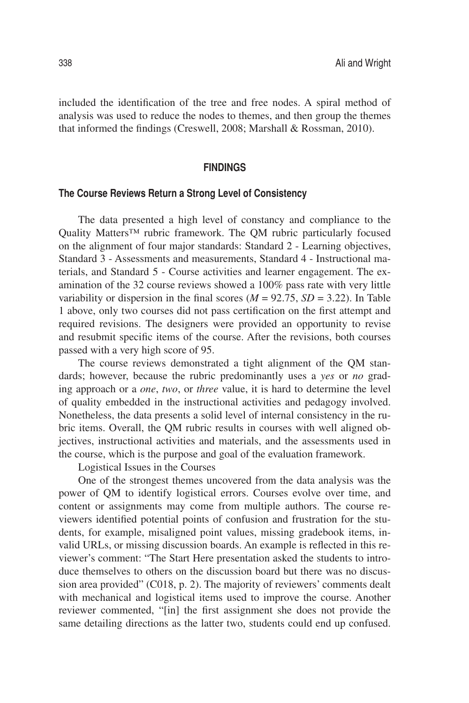included the identification of the tree and free nodes. A spiral method of analysis was used to reduce the nodes to themes, and then group the themes that informed the findings (Creswell, 2008; Marshall & Rossman, 2010).

#### **FINDINGS**

#### **The Course Reviews Return a Strong Level of Consistency**

The data presented a high level of constancy and compliance to the Quality Matters™ rubric framework. The QM rubric particularly focused on the alignment of four major standards: Standard 2 - Learning objectives, Standard 3 - Assessments and measurements, Standard 4 - Instructional materials, and Standard 5 - Course activities and learner engagement. The examination of the 32 course reviews showed a 100% pass rate with very little variability or dispersion in the final scores  $(M = 92.75, SD = 3.22)$ . In Table 1 above, only two courses did not pass certification on the first attempt and required revisions. The designers were provided an opportunity to revise and resubmit specific items of the course. After the revisions, both courses passed with a very high score of 95.

The course reviews demonstrated a tight alignment of the QM standards; however, because the rubric predominantly uses a *yes* or *no* grading approach or a *one*, *two*, or *three* value, it is hard to determine the level of quality embedded in the instructional activities and pedagogy involved. Nonetheless, the data presents a solid level of internal consistency in the rubric items. Overall, the QM rubric results in courses with well aligned objectives, instructional activities and materials, and the assessments used in the course, which is the purpose and goal of the evaluation framework.

Logistical Issues in the Courses

One of the strongest themes uncovered from the data analysis was the power of QM to identify logistical errors. Courses evolve over time, and content or assignments may come from multiple authors. The course reviewers identified potential points of confusion and frustration for the students, for example, misaligned point values, missing gradebook items, invalid URLs, or missing discussion boards. An example is reflected in this reviewer's comment: "The Start Here presentation asked the students to introduce themselves to others on the discussion board but there was no discussion area provided" (C018, p. 2). The majority of reviewers' comments dealt with mechanical and logistical items used to improve the course. Another reviewer commented, "[in] the first assignment she does not provide the same detailing directions as the latter two, students could end up confused.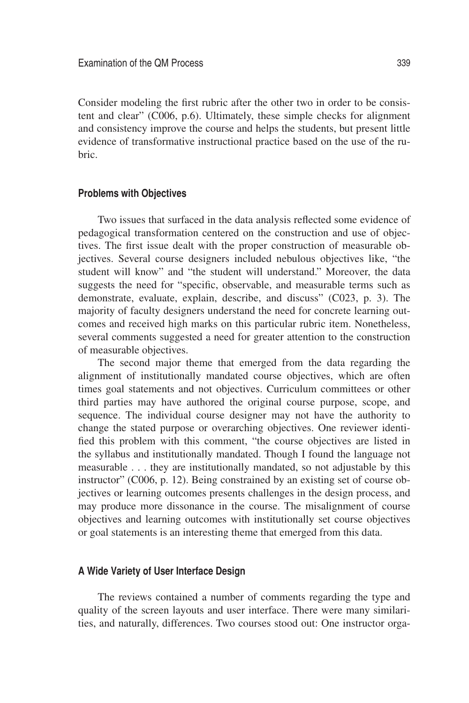Consider modeling the first rubric after the other two in order to be consistent and clear" (C006, p.6). Ultimately, these simple checks for alignment and consistency improve the course and helps the students, but present little evidence of transformative instructional practice based on the use of the rubric.

#### **Problems with Objectives**

Two issues that surfaced in the data analysis reflected some evidence of pedagogical transformation centered on the construction and use of objectives. The first issue dealt with the proper construction of measurable objectives. Several course designers included nebulous objectives like, "the student will know" and "the student will understand." Moreover, the data suggests the need for "specific, observable, and measurable terms such as demonstrate, evaluate, explain, describe, and discuss" (C023, p. 3). The majority of faculty designers understand the need for concrete learning outcomes and received high marks on this particular rubric item. Nonetheless, several comments suggested a need for greater attention to the construction of measurable objectives.

The second major theme that emerged from the data regarding the alignment of institutionally mandated course objectives, which are often times goal statements and not objectives. Curriculum committees or other third parties may have authored the original course purpose, scope, and sequence. The individual course designer may not have the authority to change the stated purpose or overarching objectives. One reviewer identified this problem with this comment, "the course objectives are listed in the syllabus and institutionally mandated. Though I found the language not measurable . . . they are institutionally mandated, so not adjustable by this instructor" (C006, p. 12). Being constrained by an existing set of course objectives or learning outcomes presents challenges in the design process, and may produce more dissonance in the course. The misalignment of course objectives and learning outcomes with institutionally set course objectives or goal statements is an interesting theme that emerged from this data.

## **A Wide Variety of User Interface Design**

The reviews contained a number of comments regarding the type and quality of the screen layouts and user interface. There were many similarities, and naturally, differences. Two courses stood out: One instructor orga-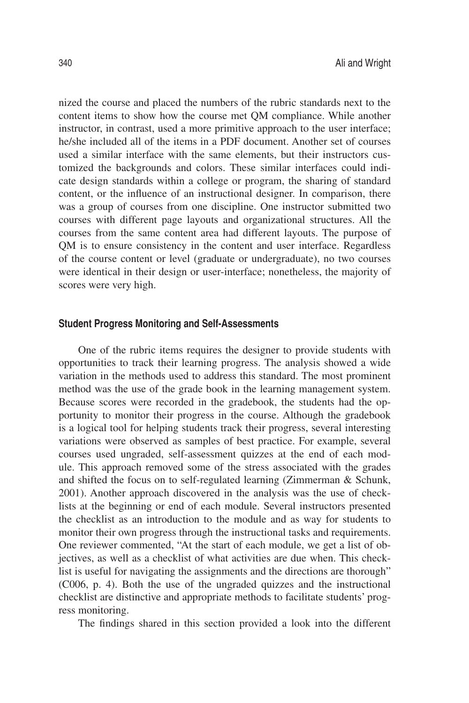nized the course and placed the numbers of the rubric standards next to the content items to show how the course met QM compliance. While another instructor, in contrast, used a more primitive approach to the user interface; he/she included all of the items in a PDF document. Another set of courses used a similar interface with the same elements, but their instructors customized the backgrounds and colors. These similar interfaces could indicate design standards within a college or program, the sharing of standard content, or the influence of an instructional designer. In comparison, there was a group of courses from one discipline. One instructor submitted two courses with different page layouts and organizational structures. All the courses from the same content area had different layouts. The purpose of QM is to ensure consistency in the content and user interface. Regardless of the course content or level (graduate or undergraduate), no two courses were identical in their design or user-interface; nonetheless, the majority of scores were very high.

#### **Student Progress Monitoring and Self-Assessments**

One of the rubric items requires the designer to provide students with opportunities to track their learning progress. The analysis showed a wide variation in the methods used to address this standard. The most prominent method was the use of the grade book in the learning management system. Because scores were recorded in the gradebook, the students had the opportunity to monitor their progress in the course. Although the gradebook is a logical tool for helping students track their progress, several interesting variations were observed as samples of best practice. For example, several courses used ungraded, self-assessment quizzes at the end of each module. This approach removed some of the stress associated with the grades and shifted the focus on to self-regulated learning (Zimmerman & Schunk, 2001). Another approach discovered in the analysis was the use of checklists at the beginning or end of each module. Several instructors presented the checklist as an introduction to the module and as way for students to monitor their own progress through the instructional tasks and requirements. One reviewer commented, "At the start of each module, we get a list of objectives, as well as a checklist of what activities are due when. This checklist is useful for navigating the assignments and the directions are thorough" (C006, p. 4). Both the use of the ungraded quizzes and the instructional checklist are distinctive and appropriate methods to facilitate students' progress monitoring.

The findings shared in this section provided a look into the different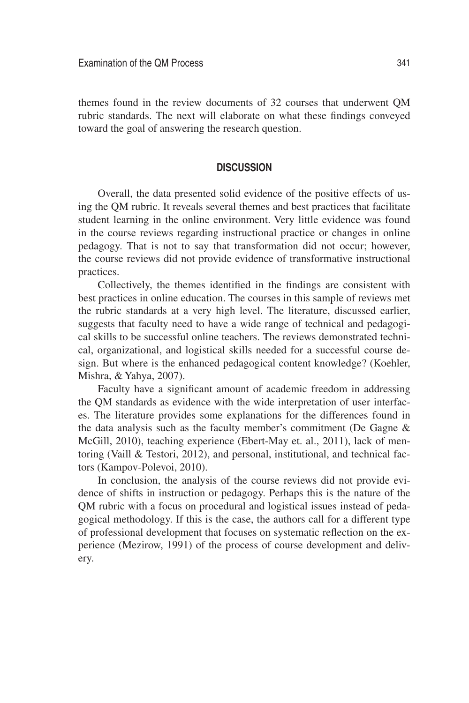themes found in the review documents of 32 courses that underwent QM rubric standards. The next will elaborate on what these findings conveyed toward the goal of answering the research question.

#### **DISCUSSION**

Overall, the data presented solid evidence of the positive effects of using the QM rubric. It reveals several themes and best practices that facilitate student learning in the online environment. Very little evidence was found in the course reviews regarding instructional practice or changes in online pedagogy. That is not to say that transformation did not occur; however, the course reviews did not provide evidence of transformative instructional practices.

Collectively, the themes identified in the findings are consistent with best practices in online education. The courses in this sample of reviews met the rubric standards at a very high level. The literature, discussed earlier, suggests that faculty need to have a wide range of technical and pedagogical skills to be successful online teachers. The reviews demonstrated technical, organizational, and logistical skills needed for a successful course design. But where is the enhanced pedagogical content knowledge? (Koehler, Mishra, & Yahya, 2007).

Faculty have a significant amount of academic freedom in addressing the QM standards as evidence with the wide interpretation of user interfaces. The literature provides some explanations for the differences found in the data analysis such as the faculty member's commitment (De Gagne & McGill, 2010), teaching experience (Ebert-May et. al., 2011), lack of mentoring (Vaill & Testori, 2012), and personal, institutional, and technical factors (Kampov-Polevoi, 2010).

In conclusion, the analysis of the course reviews did not provide evidence of shifts in instruction or pedagogy. Perhaps this is the nature of the QM rubric with a focus on procedural and logistical issues instead of pedagogical methodology. If this is the case, the authors call for a different type of professional development that focuses on systematic reflection on the experience (Mezirow, 1991) of the process of course development and delivery.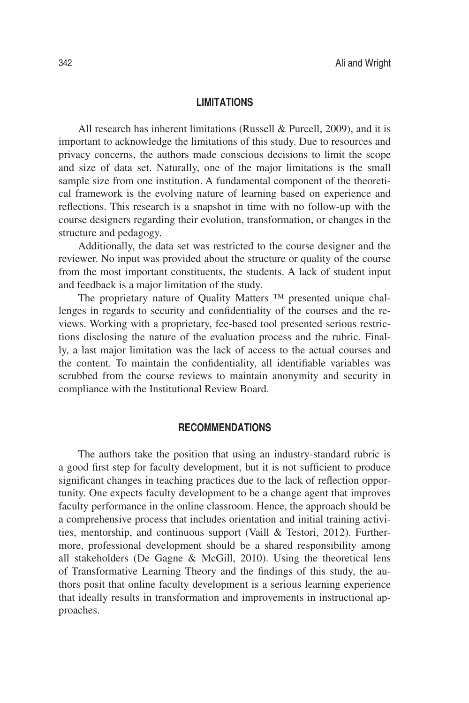#### **LIMITATIONS**

All research has inherent limitations (Russell & Purcell, 2009), and it is important to acknowledge the limitations of this study. Due to resources and privacy concerns, the authors made conscious decisions to limit the scope and size of data set. Naturally, one of the major limitations is the small sample size from one institution. A fundamental component of the theoretical framework is the evolving nature of learning based on experience and reflections. This research is a snapshot in time with no follow-up with the course designers regarding their evolution, transformation, or changes in the structure and pedagogy.

Additionally, the data set was restricted to the course designer and the reviewer. No input was provided about the structure or quality of the course from the most important constituents, the students. A lack of student input and feedback is a major limitation of the study.

The proprietary nature of Quality Matters ™ presented unique challenges in regards to security and confidentiality of the courses and the reviews. Working with a proprietary, fee-based tool presented serious restrictions disclosing the nature of the evaluation process and the rubric. Finally, a last major limitation was the lack of access to the actual courses and the content. To maintain the confidentiality, all identifiable variables was scrubbed from the course reviews to maintain anonymity and security in compliance with the Institutional Review Board.

## **RECOMMENDATIONS**

The authors take the position that using an industry-standard rubric is a good first step for faculty development, but it is not sufficient to produce significant changes in teaching practices due to the lack of reflection opportunity. One expects faculty development to be a change agent that improves faculty performance in the online classroom. Hence, the approach should be a comprehensive process that includes orientation and initial training activities, mentorship, and continuous support (Vaill & Testori, 2012). Furthermore, professional development should be a shared responsibility among all stakeholders (De Gagne & McGill, 2010). Using the theoretical lens of Transformative Learning Theory and the findings of this study, the authors posit that online faculty development is a serious learning experience that ideally results in transformation and improvements in instructional approaches.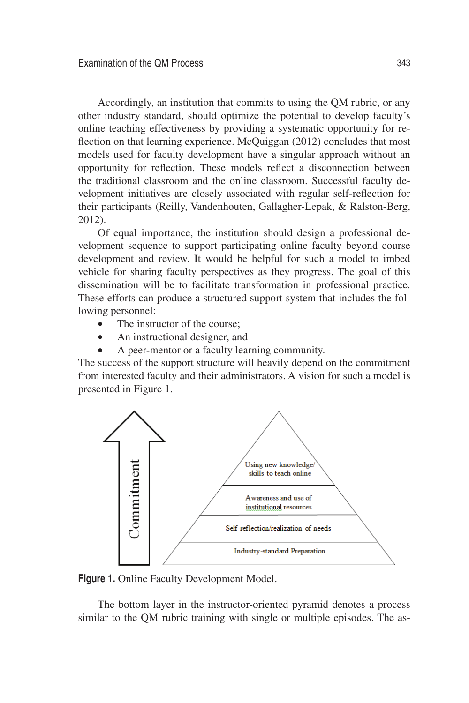Accordingly, an institution that commits to using the QM rubric, or any other industry standard, should optimize the potential to develop faculty's online teaching effectiveness by providing a systematic opportunity for reflection on that learning experience. McQuiggan (2012) concludes that most models used for faculty development have a singular approach without an opportunity for reflection. These models reflect a disconnection between the traditional classroom and the online classroom. Successful faculty development initiatives are closely associated with regular self-reflection for their participants (Reilly, Vandenhouten, Gallagher-Lepak, & Ralston-Berg, 2012).

Of equal importance, the institution should design a professional development sequence to support participating online faculty beyond course development and review. It would be helpful for such a model to imbed vehicle for sharing faculty perspectives as they progress. The goal of this dissemination will be to facilitate transformation in professional practice. These efforts can produce a structured support system that includes the following personnel:

- The instructor of the course:
- An instructional designer, and
- A peer-mentor or a faculty learning community.

The success of the support structure will heavily depend on the commitment from interested faculty and their administrators. A vision for such a model is presented in Figure 1.



**Figure 1.** Online Faculty Development Model.

The bottom layer in the instructor-oriented pyramid denotes a process similar to the QM rubric training with single or multiple episodes. The as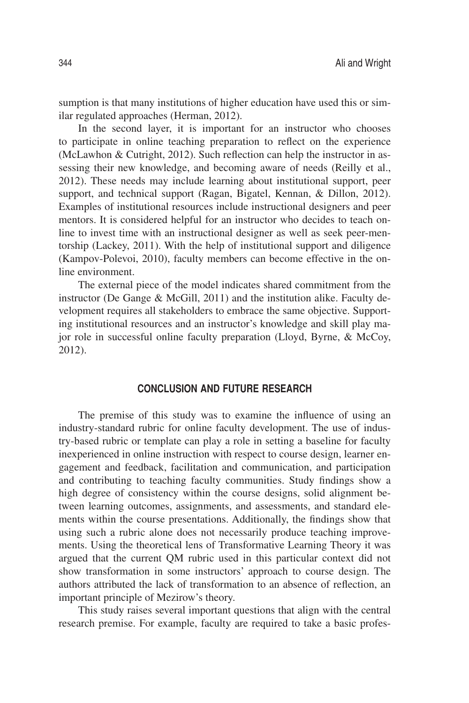sumption is that many institutions of higher education have used this or similar regulated approaches (Herman, 2012).

In the second layer, it is important for an instructor who chooses to participate in online teaching preparation to reflect on the experience (McLawhon & Cutright, 2012). Such reflection can help the instructor in assessing their new knowledge, and becoming aware of needs (Reilly et al., 2012). These needs may include learning about institutional support, peer support, and technical support (Ragan, Bigatel, Kennan, & Dillon, 2012). Examples of institutional resources include instructional designers and peer mentors. It is considered helpful for an instructor who decides to teach online to invest time with an instructional designer as well as seek peer-mentorship (Lackey, 2011). With the help of institutional support and diligence (Kampov-Polevoi, 2010), faculty members can become effective in the online environment.

The external piece of the model indicates shared commitment from the instructor (De Gange & McGill, 2011) and the institution alike. Faculty development requires all stakeholders to embrace the same objective. Supporting institutional resources and an instructor's knowledge and skill play major role in successful online faculty preparation (Lloyd, Byrne, & McCoy, 2012).

# **CONCLUSION AND FUTURE RESEARCH**

The premise of this study was to examine the influence of using an industry-standard rubric for online faculty development. The use of industry-based rubric or template can play a role in setting a baseline for faculty inexperienced in online instruction with respect to course design, learner engagement and feedback, facilitation and communication, and participation and contributing to teaching faculty communities. Study findings show a high degree of consistency within the course designs, solid alignment between learning outcomes, assignments, and assessments, and standard elements within the course presentations. Additionally, the findings show that using such a rubric alone does not necessarily produce teaching improvements. Using the theoretical lens of Transformative Learning Theory it was argued that the current QM rubric used in this particular context did not show transformation in some instructors' approach to course design. The authors attributed the lack of transformation to an absence of reflection, an important principle of Mezirow's theory.

This study raises several important questions that align with the central research premise. For example, faculty are required to take a basic profes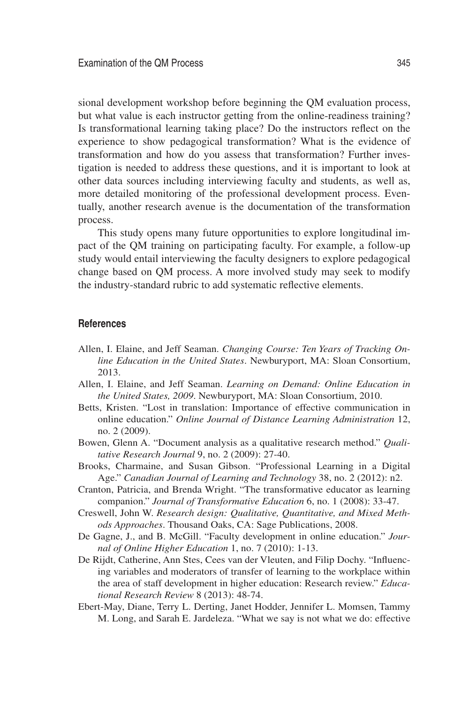sional development workshop before beginning the QM evaluation process, but what value is each instructor getting from the online-readiness training? Is transformational learning taking place? Do the instructors reflect on the experience to show pedagogical transformation? What is the evidence of transformation and how do you assess that transformation? Further investigation is needed to address these questions, and it is important to look at other data sources including interviewing faculty and students, as well as, more detailed monitoring of the professional development process. Eventually, another research avenue is the documentation of the transformation process.

This study opens many future opportunities to explore longitudinal impact of the QM training on participating faculty. For example, a follow-up study would entail interviewing the faculty designers to explore pedagogical change based on QM process. A more involved study may seek to modify the industry-standard rubric to add systematic reflective elements.

#### **References**

- Allen, I. Elaine, and Jeff Seaman. *Changing Course: Ten Years of Tracking Online Education in the United States*. Newburyport, MA: Sloan Consortium, 2013.
- Allen, I. Elaine, and Jeff Seaman. *Learning on Demand: Online Education in the United States, 2009*. Newburyport, MA: Sloan Consortium, 2010.
- Betts, Kristen. "Lost in translation: Importance of effective communication in online education." *Online Journal of Distance Learning Administration* 12, no. 2 (2009).
- Bowen, Glenn A. "Document analysis as a qualitative research method." *Qualitative Research Journal* 9, no. 2 (2009): 27-40.
- Brooks, Charmaine, and Susan Gibson. "Professional Learning in a Digital Age." *Canadian Journal of Learning and Technology* 38, no. 2 (2012): n2.
- Cranton, Patricia, and Brenda Wright. "The transformative educator as learning companion." *Journal of Transformative Education* 6, no. 1 (2008): 33-47.
- Creswell, John W. *Research design: Qualitative, Quantitative, and Mixed Methods Approaches*. Thousand Oaks, CA: Sage Publications, 2008.
- De Gagne, J., and B. McGill. "Faculty development in online education." *Journal of Online Higher Education* 1, no. 7 (2010): 1-13.
- De Rijdt, Catherine, Ann Stes, Cees van der Vleuten, and Filip Dochy. "Influencing variables and moderators of transfer of learning to the workplace within the area of staff development in higher education: Research review." *Educational Research Review* 8 (2013): 48-74.
- Ebert-May, Diane, Terry L. Derting, Janet Hodder, Jennifer L. Momsen, Tammy M. Long, and Sarah E. Jardeleza. "What we say is not what we do: effective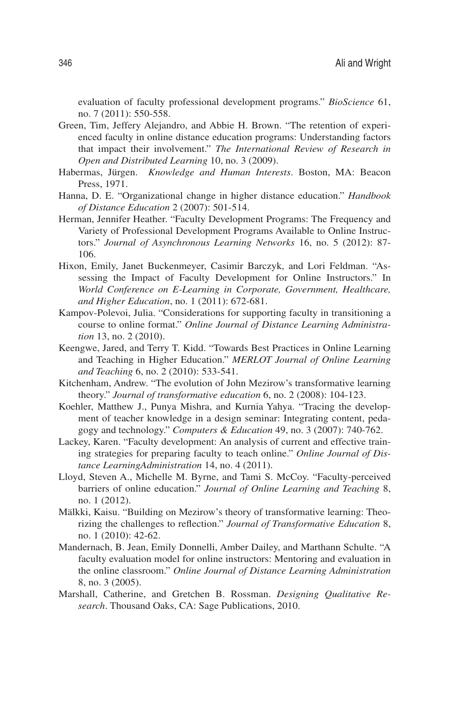evaluation of faculty professional development programs." *BioScience* 61, no. 7 (2011): 550-558.

- Green, Tim, Jeffery Alejandro, and Abbie H. Brown. "The retention of experienced faculty in online distance education programs: Understanding factors that impact their involvement." *The International Review of Research in Open and Distributed Learning* 10, no. 3 (2009).
- Habermas, Jürgen. *Knowledge and Human Interests*. Boston, MA: Beacon Press, 1971.
- Hanna, D. E. "Organizational change in higher distance education." *Handbook of Distance Education* 2 (2007): 501-514.
- Herman, Jennifer Heather. "Faculty Development Programs: The Frequency and Variety of Professional Development Programs Available to Online Instructors." *Journal of Asynchronous Learning Networks* 16, no. 5 (2012): 87- 106.
- Hixon, Emily, Janet Buckenmeyer, Casimir Barczyk, and Lori Feldman. "Assessing the Impact of Faculty Development for Online Instructors." In *World Conference on E-Learning in Corporate, Government, Healthcare, and Higher Education*, no. 1 (2011): 672-681.
- Kampov-Polevoi, Julia. "Considerations for supporting faculty in transitioning a course to online format." *Online Journal of Distance Learning Administration* 13, no. 2 (2010).
- Keengwe, Jared, and Terry T. Kidd. "Towards Best Practices in Online Learning and Teaching in Higher Education." *MERLOT Journal of Online Learning and Teaching* 6, no. 2 (2010): 533-541.
- Kitchenham, Andrew. "The evolution of John Mezirow's transformative learning theory." *Journal of transformative education* 6, no. 2 (2008): 104-123.
- Koehler, Matthew J., Punya Mishra, and Kurnia Yahya. "Tracing the development of teacher knowledge in a design seminar: Integrating content, pedagogy and technology." *Computers & Education* 49, no. 3 (2007): 740-762.
- Lackey, Karen. "Faculty development: An analysis of current and effective training strategies for preparing faculty to teach online." *Online Journal of Distance LearningAdministration* 14, no. 4 (2011).
- Lloyd, Steven A., Michelle M. Byrne, and Tami S. McCoy. "Faculty-perceived barriers of online education." *Journal of Online Learning and Teaching* 8, no. 1 (2012).
- Mälkki, Kaisu. "Building on Mezirow's theory of transformative learning: Theorizing the challenges to reflection." *Journal of Transformative Education* 8, no. 1 (2010): 42-62.
- Mandernach, B. Jean, Emily Donnelli, Amber Dailey, and Marthann Schulte. "A faculty evaluation model for online instructors: Mentoring and evaluation in the online classroom." *Online Journal of Distance Learning Administration* 8, no. 3 (2005).
- Marshall, Catherine, and Gretchen B. Rossman. *Designing Qualitative Research*. Thousand Oaks, CA: Sage Publications, 2010.